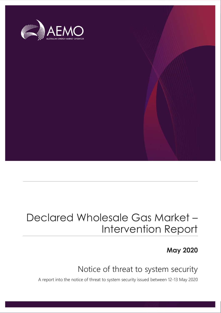

## Declared Wholesale Gas Market – Intervention Report

**May 2020**

## Notice of threat to system security

A report into the notice of threat to system security issued between 12-13 May 2020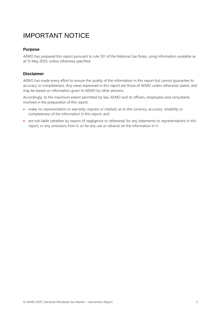## IMPORTANT NOTICE

#### **Purpose**

AEMO has prepared this report pursuant to rule 351 of the National Gas Rules, using information available as at 15 May 2020, unless otherwise specified.

#### **Disclaimer**

AEMO has made every effort to ensure the quality of the information in this report but cannot guarantee its accuracy or completeness. Any views expressed in this report are those of AEMO unless otherwise stated, and may be based on information given to AEMO by other persons.

Accordingly, to the maximum extent permitted by law, AEMO and its officers, employees and consultants involved in the preparation of this report:

- make no representation or warranty, express or implied, as to the currency, accuracy, reliability or completeness of the information in this report; and
- are not liable (whether by reason of negligence or otherwise) for any statements or representations in this report, or any omissions from it, or for any use or reliance on the information in it.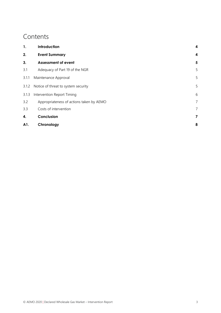### **Contents**

| 1.    | Introduction                             | 4              |
|-------|------------------------------------------|----------------|
| 2.    | <b>Event Summary</b>                     | 4              |
| 3.    | <b>Assessment of event</b>               | 5              |
| 3.1   | Adequacy of Part 19 of the NGR           | 5              |
| 3.1.1 | Maintenance Approval                     |                |
| 3.1.2 | Notice of threat to system security      | 5              |
| 3.1.3 | Intervention Report Timing               |                |
| 3.2   | Appropriateness of actions taken by AEMO | $\overline{7}$ |
| 3.3   | Costs of intervention                    | 7              |
| 4.    | Conclusion                               | 7              |
| A1.   | Chronology                               | 8              |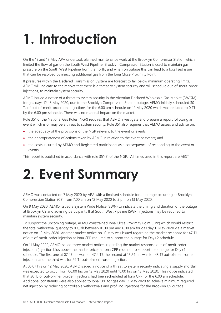# <span id="page-3-0"></span>**1. Introduction**

On the 12 and 13 May APA undertook planned maintenance work at the Brooklyn Compressor Station which limited the flow of gas on the South West Pipeline. Brooklyn Compressor Station is used to maintain gas pressure on the South West Pipeline from the north, and when on outage this can lead to a localised issue that can be resolved by injecting additional gas from the Iona Close Proximity Point.

If pressures within the Declared Transmission System are forecast to fall below minimum operating limits, AEMO will indicate to the market that there is a threat to system security and will schedule out-of-merit-order injections, to maintain system security.

AEMO issued a notice of a threat to system security in the Victorian Declared Wholesale Gas Market (DWGM) for gas days 12-13 May 2020, due to the Brooklyn Compression Station outage. AEMO initially scheduled 30 TJ of out-of-merit-order Iona injections for the 6.00 am schedule on 12 May 2020 which was reduced to 0 TJ by the 6.00 pm schedule. There was no material impact on the market.

Rule 351 of the National Gas Rules (NGR) requires that AEMO investigate and prepare a report following an event which is or may be a threat to system security. Rule 351 also requires that AEMO assess and advise on:

- the adequacy of the provisions of the NGR relevant to the event or events;
- the appropriateness of actions taken by AEMO in relation to the event or events; and
- the costs incurred by AEMO and Registered participants as a consequence of responding to the event or events.

This report is published in accordance with rule 351(2) of the NGR. All times used in this report are AEST.

# <span id="page-3-1"></span>**2. Event Summary**

AEMO was contacted on 7 May 2020 by APA with a finalised schedule for an outage occurring at Brooklyn Compression Station (CS) from 7.00 am on 12 May 2020 to 5 pm on 13 May 2020.

On 9 May 2020, AEMO issued a System Wide Notice (SWN) to indicate the timing and duration of the outage at Brooklyn CS and advising participants that South West Pipeline (SWP) injections may be required to maintain system security.

To support the upcoming outage, AEMO constrained Iona Close Proximity Point (CPP) which would restrict the total withdrawal quantity to 0 GJ/h between 10.00 pm and 6.00 am for gas day 11 May 2020 via a market notice on 10 May 2020. Another market notice on 10 May was issued regarding the market response for 47 TJ of out-of-merit-order injection at Iona CPP required to support the outage for Day+2 schedule.

On 11 May 2020, AEMO issued three market notices regarding the market response out-of-merit-order injection (injection bids above the market price) at Iona CPP required to support the outage for Day+1 schedule. The first one at 07.47 hrs was for 47.4 TJ, the second at 15.24 hrs was for 43 TJ out-of-merit-order injection, and the third was for 29 TJ out-of-merit-order injection.

At 05.07 hrs on 12 May 2020, AEMO issued a notice of a threat to system security indicating a supply shortfall was expected to occur from 06.00 hrs on 12 May 2020 until 18.00 hrs on 13 May 2020. This notice indicated that 30 TJ of out-of-merit-order injections had been scheduled at Iona CPP for the 6.00 am schedule. Additional constraints were also applied to Iona CPP for gas day 13 May 2020 to achieve minimum required net injection by reducing controllable withdrawals and profiling injections for the Brooklyn CS outage.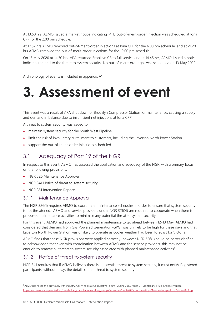At 13.50 hrs, AEMO issued a market notice indicating 14 TJ out-of-merit-order injection was scheduled at Iona CPP for the 2.00 pm schedule.

At 17.57 hrs AEMO removed out-of-merit-order injections at Iona CPP for the 6.00 pm schedule, and at 21.20 hrs AEMO removed the out-of-merit-order injections for the 10.00 pm schedule.

On 13 May 2020 at 14.30 hrs, APA returned Brooklyn CS to full service and at 14.45 hrs, AEMO issued a notice indicating an end to the threat to system security. No out-of-merit-order gas was scheduled on 13 May 2020.

A chronology of events is included in appendix [A1.](#page-7-0)

# <span id="page-4-0"></span>**3. Assessment of event**

This event was a result of APA shut down of Brooklyn Compressor Station for maintenance, causing a supply and demand imbalance due to insufficient net injections at Iona CPP.

A threat to system security was issued to:

- maintain system security for the South West Pipeline
- limit the risk of involuntary curtailment to customers, including the Laverton North Power Station
- support the out-of-merit-order injections scheduled

### <span id="page-4-1"></span>3.1 Adequacy of Part 19 of the NGR

In respect to this event, AEMO has assessed the application and adequacy of the NGR, with a primary focus on the following provisions:

- NGR 326 Maintenance Approval
- NGR 341 Notice of threat to system security
- NGR 351 Intervention Reports

#### <span id="page-4-2"></span>3.1.1 Maintenance Approval

The NGR 326(1) requires AEMO to coordinate maintenance schedules in order to ensure that system security is not threatened. AEMO and service providers under NGR 326(4) are required to cooperate when there is proposed maintenance activities to minimise any potential threat to system security.

For this event, AEMO had approved the planned maintenance to go ahead between 12-13 May. AEMO had considered that demand from Gas Powered Generation (GPG) was unlikely to be high for these days and that Laverton North Power Station was unlikely to operate as cooler weather had been forecast for Victoria.

AEMO finds that these NGR provisions were applied correctly, however NGR 326(1) could be better clarified to acknowledge that even with coordination between AEMO and the service providers, this may not be enough to remove all threats to system security associated with planned maintenance activities<sup>1</sup>.

### <span id="page-4-3"></span>3.1.2 Notice of threat to system security

NGR 341 requires that if AEMO believes there is a potential threat to system security, it must notify Registered participants, without delay, the details of that threat to system security.

<sup>1</sup> AEMO has raised this previously with industry. Gas Wholesale Consultative Forum, 12 June 2018. Paper 5 - Maintenance Rule Change Proposal [https://aemo.com.au/-/media/files/stakeholder\\_consultation/working\\_groups/wholesale/gwcf/2018/gwcf-meeting-21---meeting-pack---12-june-2018.zip](https://aemo.com.au/-/media/files/stakeholder_consultation/working_groups/wholesale/gwcf/2018/gwcf-meeting-21---meeting-pack---12-june-2018.zip)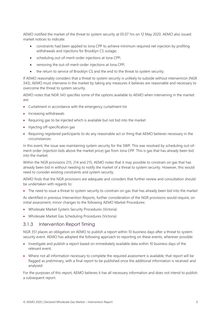AEMO notified the market of the threat to system security at 05.07 hrs on 12 May 2020. AEMO also issued market notices to indicate:

- constraints had been applied to Iona CPP to achieve minimum required net injection by profiling withdrawals and injections for Brooklyn CS outage;
- scheduling out-of-merit-order injections at Iona CPP;
- removing the out-of-merit-order injections at Iona CPP;
- the return to service of Brooklyn CS and the end to the threat to system security.

If AEMO reasonably considers that a threat to system security is unlikely to subside without intervention (NGR 343), AEMO must intervene in the market by taking any measures it believes are reasonable and necessary to overcome the threat to system security.

AEMO notes that NGR 343 specifies some of the options available to AEMO when intervening in the market are:

- Curtailment in accordance with the emergency curtailment list
- Increasing withdrawals
- Requiring gas to be injected which is available but not bid into the market
- Injecting off-specification gas
- Requiring registered participants to do any reasonable act or thing that AEMO believes necessary in the circumstances.

In this event, the issue was maintaining system security for the SWP. This was resolved by scheduling out-ofmerit-order (injection bids above the market price) gas from Iona CPP. This is gas that has already been bid into the market.

Within the NGR provisions 213, 214 and 215, AEMO notes that it may possible to constrain on gas that has already been bid in without needing to notify the market of a threat to system security. However, this would need to consider existing constraints and system security.

AEMO finds that the NGR provisions are adequate and considers that further review and consultation should be undertaken with regards to:

• The need to issue a threat to system security to constrain on gas that has already been bid into the market

As identified in previous Intervention Reports, further consideration of the NGR provisions would require, on initial assessment, minor changes to the following AEMO Market Procedures:

- Wholesale Market System Security Procedures (Victoria)
- Wholesale Market Gas Scheduling Procedures (Victoria)

### <span id="page-5-0"></span>3.1.3 Intervention Report Timing

NGR 351 places an obligation on AEMO to publish a report within 10 business days after a threat to system security event. AEMO has adopted the following approach to reporting on these events, wherever possible:

- Investigate and publish a report based on immediately available data within 10 business days of the relevant event.
- Where not all information necessary to complete the required assessment is available, that report will be flagged as preliminary, with a final report to be published once the additional information is received and analysed.

For the purposes of this report, AEMO believes it has all necessary information and does not intend to publish a subsequent report.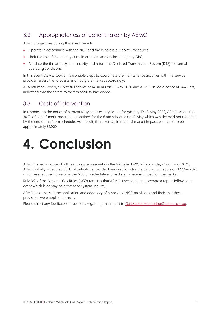### <span id="page-6-0"></span>3.2 Appropriateness of actions taken by AEMO

AEMO's objectives during this event were to:

- Operate in accordance with the NGR and the Wholesale Market Procedures;
- Limit the risk of involuntary curtailment to customers including any GPG;
- Alleviate the threat to system security and return the Declared Transmission System (DTS) to normal operating conditions.

In this event, AEMO took all reasonable steps to coordinate the maintenance activities with the service provider, assess the forecasts and notify the market accordingly.

APA returned Brooklyn CS to full service at 14.30 hrs on 13 May 2020 and AEMO issued a notice at 14.45 hrs, indicating that the threat to system security had ended.

### <span id="page-6-1"></span>3.3 Costs of intervention

In response to the notice of a threat to system security issued for gas day 12-13 May 2020, AEMO scheduled 30 TJ of out-of-merit-order Iona injections for the 6 am schedule on 12 May which was deemed not required by the end of the 2 pm schedule. As a result, there was an immaterial market impact, estimated to be approximately \$1,000.

# <span id="page-6-2"></span>**4. Conclusion**

AEMO issued a notice of a threat to system security in the Victorian DWGM for gas days 12-13 May 2020. AEMO initially scheduled 30 TJ of out-of-merit-order Iona injections for the 6.00 am schedule on 12 May 2020 which was reduced to zero by the 6.00 pm schedule and had an immaterial impact on the market.

Rule 351 of the National Gas Rules (NGR) requires that AEMO investigate and prepare a report following an event which is or may be a threat to system security.

AEMO has assessed the application and adequacy of associated NGR provisions and finds that these provisions were applied correctly.

Please direct any feedback or questions regarding this report to [GasMarket.Monitoring@aemo.com.au.](mailto:GasMarket.Monitoring@aemo.com.au)